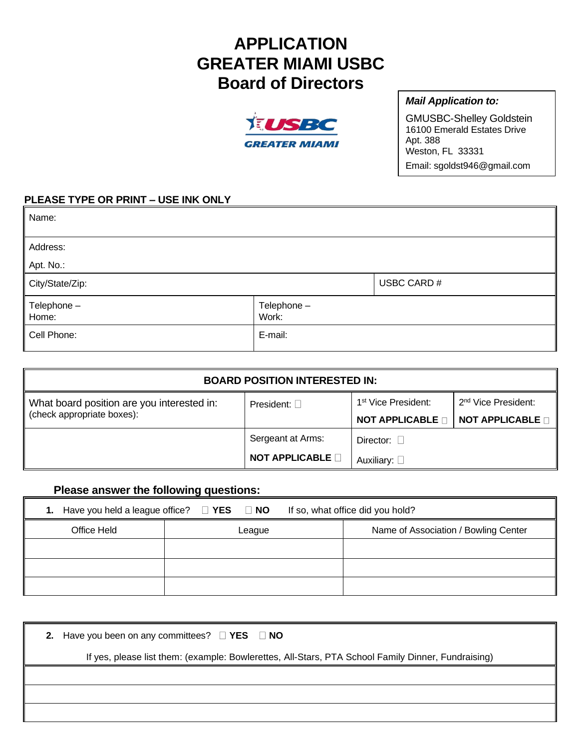## **APPLICATION GREATER MIAMI USBC Board of Directors**



## *Mail Application to:*

GMUSBC-Shelley Goldstein 16100 Emerald Estates Drive Apt. 388 Weston, FL 33331 Email: sgoldst946@gmail.com

## **PLEASE TYPE OR PRINT – USE INK ONLY**

| Name:                        |                      |             |
|------------------------------|----------------------|-------------|
| Address:                     |                      |             |
| Apt. No.:                    |                      |             |
| City/State/Zip:              |                      | USBC CARD # |
| $\vert$ Telephone -<br>Home: | Telephone -<br>Work: |             |
| Cell Phone:                  | E-mail:              |             |

| <b>BOARD POSITION INTERESTED IN:</b>                                     |                       |                                 |                                 |  |
|--------------------------------------------------------------------------|-----------------------|---------------------------------|---------------------------------|--|
| What board position are you interested in:<br>(check appropriate boxes): | President: $\Box$     | 1 <sup>st</sup> Vice President: | 2 <sup>nd</sup> Vice President: |  |
|                                                                          |                       | <b>NOT APPLICABLE D</b>         | <b>NOT APPLICABLE</b>           |  |
|                                                                          | Sergeant at Arms:     | Director: $\Box$                |                                 |  |
|                                                                          | <b>NOT APPLICABLE</b> | Auxiliary: $\square$            |                                 |  |

## **Please answer the following questions:**

|             |        | 1. Have you held a league office? $\Box$ YES $\Box$ NO If so, what office did you hold? |
|-------------|--------|-----------------------------------------------------------------------------------------|
| Office Held | League | Name of Association / Bowling Center                                                    |
|             |        |                                                                                         |
|             |        |                                                                                         |
|             |        |                                                                                         |

| 2. Have you been on any committees? $\Box$ YES $\Box$ NO                                           |  |
|----------------------------------------------------------------------------------------------------|--|
| If yes, please list them: (example: Bowlerettes, All-Stars, PTA School Family Dinner, Fundraising) |  |
|                                                                                                    |  |
|                                                                                                    |  |
|                                                                                                    |  |